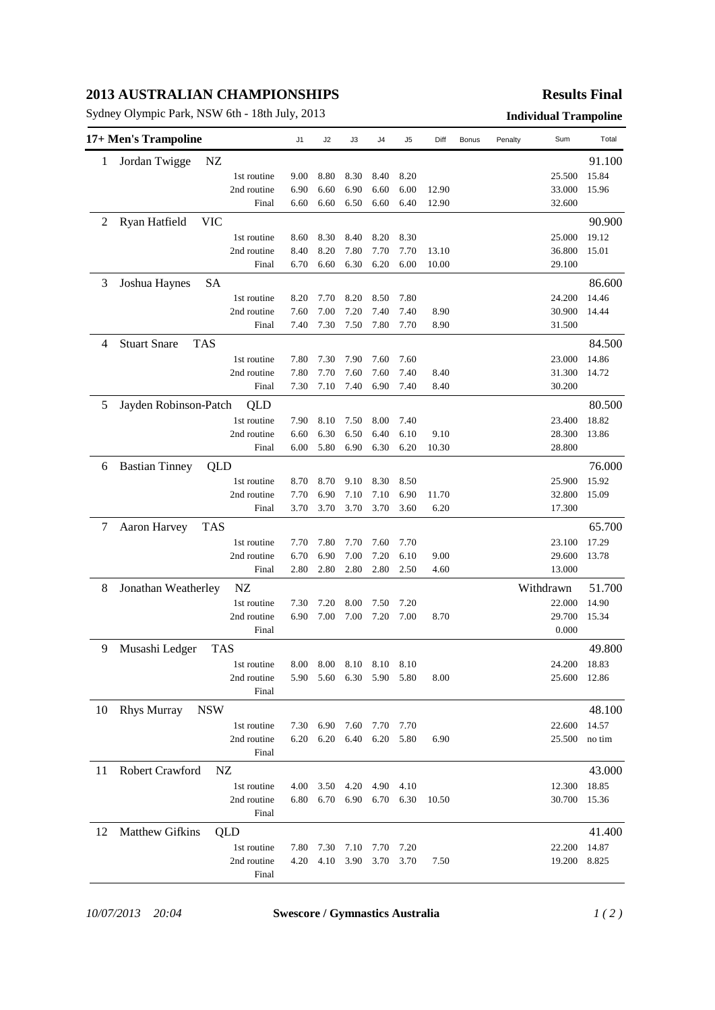## **2013 AUSTRALIAN CHAMPIONSHIPS**

Sydney Olympic Park, NSW 6th - 18th July, 2013 **Individual Trampoline**

## **Results Final**

|    | 17+ Men's Trampoline   |                      | J1           | J2           | J3           | J4           | J5           | Diff         | Bonus | Penalty | Sum              | Total  |
|----|------------------------|----------------------|--------------|--------------|--------------|--------------|--------------|--------------|-------|---------|------------------|--------|
| 1  | Jordan Twigge          | NZ                   |              |              |              |              |              |              |       |         |                  | 91.100 |
|    |                        | 1st routine          | 9.00         | 8.80         | 8.30         | 8.40         | 8.20         |              |       |         | 25.500           | 15.84  |
|    |                        | 2nd routine          | 6.90         | 6.60         | 6.90         | 6.60         | 6.00         | 12.90        |       |         | 33.000           | 15.96  |
|    |                        | Final                | 6.60         | 6.60         | 6.50         | 6.60         | 6.40         | 12.90        |       |         | 32.600           |        |
| 2  | Ryan Hatfield          | <b>VIC</b>           |              |              |              |              |              |              |       |         |                  | 90.900 |
|    |                        | 1st routine          | 8.60         | 8.30         | 8.40         | 8.20         | 8.30         |              |       |         | 25.000           | 19.12  |
|    |                        | 2nd routine          | 8.40         | 8.20         | 7.80         | 7.70         | 7.70         | 13.10        |       |         | 36.800           | 15.01  |
|    |                        | Final                | 6.70         | 6.60         | 6.30         | 6.20         | 6.00         | 10.00        |       |         | 29.100           |        |
| 3  | Joshua Haynes          | SA                   |              |              |              |              |              |              |       |         |                  | 86.600 |
|    |                        | 1st routine          | 8.20         | 7.70         | 8.20         | 8.50         | 7.80         |              |       |         | 24.200           | 14.46  |
|    |                        | 2nd routine          | 7.60         | 7.00         | 7.20         | 7.40         | 7.40         | 8.90         |       |         | 30.900           | 14.44  |
|    |                        | Final                | 7.40         | 7.30         | 7.50         | 7.80         | 7.70         | 8.90         |       |         | 31.500           |        |
| 4  | <b>Stuart Snare</b>    | <b>TAS</b>           |              |              |              |              |              |              |       |         |                  | 84.500 |
|    |                        | 1st routine          | 7.80         | 7.30         | 7.90         | 7.60         | 7.60         |              |       |         | 23.000           | 14.86  |
|    |                        | 2nd routine          | 7.80         | 7.70         | 7.60         | 7.60         | 7.40         | 8.40         |       |         | 31.300           | 14.72  |
|    |                        | Final                | 7.30         | 7.10         | 7.40         | 6.90         | 7.40         | 8.40         |       |         | 30.200           |        |
| 5  | Jayden Robinson-Patch  | QLD                  |              |              |              |              |              |              |       |         |                  | 80.500 |
|    |                        | 1st routine          | 7.90         | 8.10         | 7.50         | 8.00         | 7.40         |              |       |         | 23.400           | 18.82  |
|    |                        | 2nd routine          | 6.60         | 6.30         | 6.50         | 6.40         | 6.10         | 9.10         |       |         | 28.300           | 13.86  |
|    |                        | Final                | 6.00         | 5.80         | 6.90         | 6.30         | 6.20         | 10.30        |       |         | 28.800           |        |
| 6  | <b>Bastian Tinney</b>  | QLD                  |              |              |              |              |              |              |       |         |                  | 76.000 |
|    |                        | 1st routine          | 8.70         | 8.70         | 9.10         | 8.30         | 8.50         |              |       |         | 25.900           | 15.92  |
|    |                        | 2nd routine          | 7.70         | 6.90         | 7.10         | 7.10         | 6.90         | 11.70        |       |         | 32.800           | 15.09  |
|    |                        | Final                | 3.70         | 3.70         | 3.70         | 3.70         | 3.60         | 6.20         |       |         | 17.300           |        |
| 7  | Aaron Harvey           | <b>TAS</b>           |              |              |              |              |              |              |       |         |                  | 65.700 |
|    |                        |                      |              |              |              |              |              |              |       |         |                  |        |
|    |                        | 1st routine          | 7.70         | 7.80         | 7.70         | 7.60         | 7.70         |              |       |         | 23.100           | 17.29  |
|    |                        | 2nd routine<br>Final | 6.70<br>2.80 | 6.90<br>2.80 | 7.00<br>2.80 | 7.20<br>2.80 | 6.10<br>2.50 | 9.00<br>4.60 |       |         | 29.600<br>13.000 | 13.78  |
|    |                        |                      |              |              |              |              |              |              |       |         |                  |        |
| 8  | Jonathan Weatherley    | NZ                   |              |              |              |              |              |              |       |         | Withdrawn        | 51.700 |
|    |                        | 1st routine          | 7.30         | 7.20         | 8.00         | 7.50         | 7.20         |              |       |         | 22.000           | 14.90  |
|    |                        | 2nd routine          | 6.90         | 7.00         | 7.00         | 7.20         | 7.00         | 8.70         |       |         | 29.700           | 15.34  |
|    |                        | Final                |              |              |              |              |              |              |       |         | 0.000            |        |
| 9  | Musashi Ledger         | <b>TAS</b>           |              |              |              |              |              |              |       |         |                  | 49.800 |
|    |                        | 1st routine          | 8.00         | 8.00         | 8.10         | 8.10         | 8.10         |              |       |         | 24.200 18.83     |        |
|    |                        | 2nd routine          | 5.90         | 5.60         | 6.30         | 5.90         | 5.80         | 8.00         |       |         | 25.600           | 12.86  |
|    |                        | Final                |              |              |              |              |              |              |       |         |                  |        |
| 10 | <b>Rhys Murray</b>     | <b>NSW</b>           |              |              |              |              |              |              |       |         |                  | 48.100 |
|    |                        | 1st routine          | 7.30         | 6.90         | 7.60         | 7.70         | 7.70         |              |       |         | 22.600           | 14.57  |
|    |                        | 2nd routine          | 6.20         | 6.20         | 6.40         | 6.20         | 5.80         | 6.90         |       |         | 25.500           | no tim |
|    |                        | Final                |              |              |              |              |              |              |       |         |                  |        |
| 11 | Robert Crawford        | NZ                   |              |              |              |              |              |              |       |         |                  | 43.000 |
|    |                        | 1st routine          | 4.00         | 3.50         | 4.20         | 4.90         | 4.10         |              |       |         | 12.300           | 18.85  |
|    |                        | 2nd routine<br>Final | 6.80         | 6.70         | 6.90         |              | 6.70 6.30    | 10.50        |       |         | 30.700           | 15.36  |
| 12 | <b>Matthew Gifkins</b> | QLD                  |              |              |              |              |              |              |       |         |                  | 41.400 |
|    |                        | 1st routine          | 7.80         | 7.30         | 7.10         | 7.70         | 7.20         |              |       |         | 22.200           | 14.87  |
|    |                        | 2nd routine          | 4.20         | 4.10         | 3.90         | 3.70         | 3.70         | 7.50         |       |         | 19.200           | 8.825  |
|    |                        | Final                |              |              |              |              |              |              |       |         |                  |        |

*10/07/2013 20:04* **Swescore / Gymnastics Australia** *1 ( 2 )*